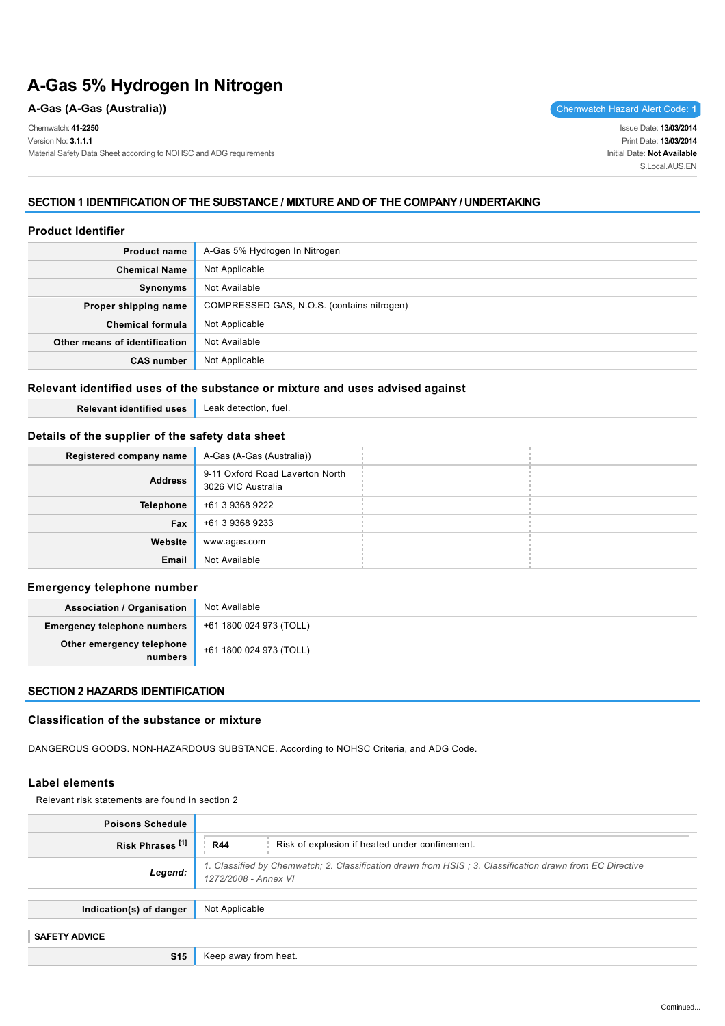# **A-Gas 5% Hydrogen In Nitrogen**

### **A-Gas (A-Gas (Australia))** Chemwatch Hazard Alert Code: **1**

Chemwatch: **41-2250**

Version No: **3.1.1.1**

Material Safety Data Sheet according to NOHSC and ADG requirements

Issue Date: **13/03/2014** Print Date: **13/03/2014** Initial Date: **Not Available** S.Local AUS FN

### **SECTION 1 IDENTIFICATION OF THE SUBSTANCE / MIXTURE AND OF THE COMPANY / UNDERTAKING**

### **Product Identifier**

| <b>Product name</b>           | A-Gas 5% Hydrogen In Nitrogen              |
|-------------------------------|--------------------------------------------|
| <b>Chemical Name</b>          | Not Applicable                             |
| Synonyms                      | Not Available                              |
| Proper shipping name          | COMPRESSED GAS, N.O.S. (contains nitrogen) |
| Chemical formula              | Not Applicable                             |
| Other means of identification | Not Available                              |
| <b>CAS number</b>             | Not Applicable                             |

### **Relevant identified uses of the substance or mixture and uses advised against**

**Relevant identified uses** Leak detection, fuel.

# **Details of the supplier of the safety data sheet**

| Registered company name | A-Gas (A-Gas (Australia))                             |  |
|-------------------------|-------------------------------------------------------|--|
| <b>Address</b>          | 9-11 Oxford Road Laverton North<br>3026 VIC Australia |  |
| <b>Telephone</b>        | +61 3 9368 9222                                       |  |
| Fax                     | +61 3 9368 9233                                       |  |
| Website                 | www.agas.com                                          |  |
| Email                   | Not Available                                         |  |

### **Emergency telephone number**

| <b>Association / Organisation</b>    | Not Available           |
|--------------------------------------|-------------------------|
| <b>Emergency telephone numbers</b>   | +61 1800 024 973 (TOLL) |
| Other emergency telephone<br>numbers | +61 1800 024 973 (TOLL) |

### **SECTION 2 HAZARDS IDENTIFICATION**

### **Classification of the substance or mixture**

DANGEROUS GOODS. NON-HAZARDOUS SUBSTANCE. According to NOHSC Criteria, and ADG Code.

### **Label elements**

Relevant risk statements are found in section 2

| <b>Poisons Schedule</b>     |                                                                                                                                  |
|-----------------------------|----------------------------------------------------------------------------------------------------------------------------------|
| Risk Phrases <sup>[1]</sup> | Risk of explosion if heated under confinement.<br><b>R44</b>                                                                     |
| Legend:                     | 1. Classified by Chemwatch; 2. Classification drawn from HSIS; 3. Classification drawn from EC Directive<br>1272/2008 - Annex VI |
| Indication(s) of danger     | Not Applicable                                                                                                                   |
| <b>SAFETY ADVICE</b>        |                                                                                                                                  |
| <b>S15</b>                  | Keep away from heat.                                                                                                             |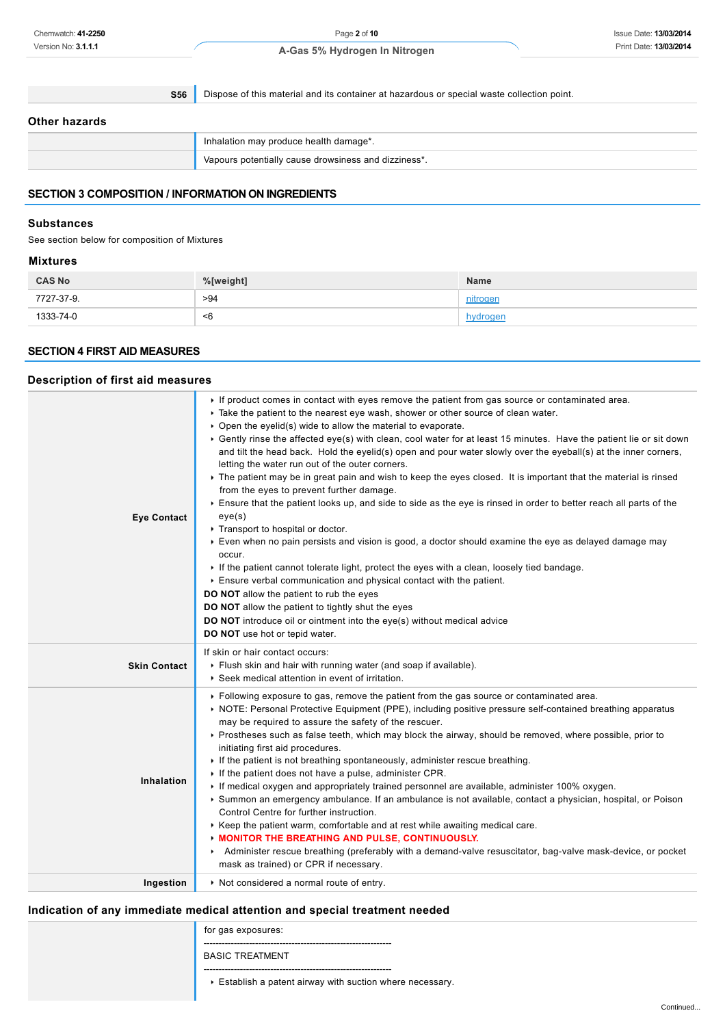**S56** Dispose of this material and its container at hazardous or special waste collection point.

### **Other hazards**

|  | Inhalation may produce health damage*.               |  |
|--|------------------------------------------------------|--|
|  | Vapours potentially cause drowsiness and dizziness*. |  |

# **SECTION 3 COMPOSITION / INFORMATION ON INGREDIENTS**

### **Substances**

See section below for composition of Mixtures

### **Mixtures**

| <b>CAS No</b> | %[weight] | <b>Name</b> |
|---------------|-----------|-------------|
| 7727-37-9.    | >94       | nitrogen    |
| 1333-74-0     | <6        | hydroger    |

### **SECTION 4 FIRST AID MEASURES**

# **Description of first aid measures**

| <b>Eye Contact</b>  | If product comes in contact with eyes remove the patient from gas source or contaminated area.<br>► Take the patient to the nearest eye wash, shower or other source of clean water.<br>$\triangleright$ Open the eyelid(s) wide to allow the material to evaporate.<br>▶ Gently rinse the affected eye(s) with clean, cool water for at least 15 minutes. Have the patient lie or sit down<br>and tilt the head back. Hold the eyelid(s) open and pour water slowly over the eyeball(s) at the inner corners,<br>letting the water run out of the outer corners.<br>• The patient may be in great pain and wish to keep the eyes closed. It is important that the material is rinsed<br>from the eyes to prevent further damage.<br>Ensure that the patient looks up, and side to side as the eye is rinsed in order to better reach all parts of the<br>eye(s)<br>Transport to hospital or doctor.<br>Even when no pain persists and vision is good, a doctor should examine the eye as delayed damage may<br>occur.<br>If the patient cannot tolerate light, protect the eyes with a clean, loosely tied bandage.<br>Ensure verbal communication and physical contact with the patient.<br><b>DO NOT</b> allow the patient to rub the eyes<br><b>DO NOT</b> allow the patient to tightly shut the eyes<br><b>DO NOT</b> introduce oil or ointment into the eye(s) without medical advice<br>DO NOT use hot or tepid water. |
|---------------------|-------------------------------------------------------------------------------------------------------------------------------------------------------------------------------------------------------------------------------------------------------------------------------------------------------------------------------------------------------------------------------------------------------------------------------------------------------------------------------------------------------------------------------------------------------------------------------------------------------------------------------------------------------------------------------------------------------------------------------------------------------------------------------------------------------------------------------------------------------------------------------------------------------------------------------------------------------------------------------------------------------------------------------------------------------------------------------------------------------------------------------------------------------------------------------------------------------------------------------------------------------------------------------------------------------------------------------------------------------------------------------------------------------------------------------|
| <b>Skin Contact</b> | If skin or hair contact occurs:<br>Flush skin and hair with running water (and soap if available).<br>▶ Seek medical attention in event of irritation.                                                                                                                                                                                                                                                                                                                                                                                                                                                                                                                                                                                                                                                                                                                                                                                                                                                                                                                                                                                                                                                                                                                                                                                                                                                                        |
| Inhalation          | ▶ Following exposure to gas, remove the patient from the gas source or contaminated area.<br>▶ NOTE: Personal Protective Equipment (PPE), including positive pressure self-contained breathing apparatus<br>may be required to assure the safety of the rescuer.<br>Prostheses such as false teeth, which may block the airway, should be removed, where possible, prior to<br>initiating first aid procedures.<br>If the patient is not breathing spontaneously, administer rescue breathing.<br>If the patient does not have a pulse, administer CPR.<br>If medical oxygen and appropriately trained personnel are available, administer 100% oxygen.<br>Summon an emergency ambulance. If an ambulance is not available, contact a physician, hospital, or Poison<br>Control Centre for further instruction.<br>► Keep the patient warm, comfortable and at rest while awaiting medical care.<br><b>MONITOR THE BREATHING AND PULSE, CONTINUOUSLY.</b><br>Administer rescue breathing (preferably with a demand-valve resuscitator, bag-valve mask-device, or pocket<br>mask as trained) or CPR if necessary.                                                                                                                                                                                                                                                                                                              |
| Ingestion           | Not considered a normal route of entry.                                                                                                                                                                                                                                                                                                                                                                                                                                                                                                                                                                                                                                                                                                                                                                                                                                                                                                                                                                                                                                                                                                                                                                                                                                                                                                                                                                                       |

# **Indication of any immediate medical attention and special treatment needed**

| Indication of any immediate medical attention and special treatment needed |                                                         |  |
|----------------------------------------------------------------------------|---------------------------------------------------------|--|
|                                                                            | for gas exposures:                                      |  |
|                                                                            | <b>BASIC TREATMENT</b>                                  |  |
|                                                                            | Establish a patent airway with suction where necessary. |  |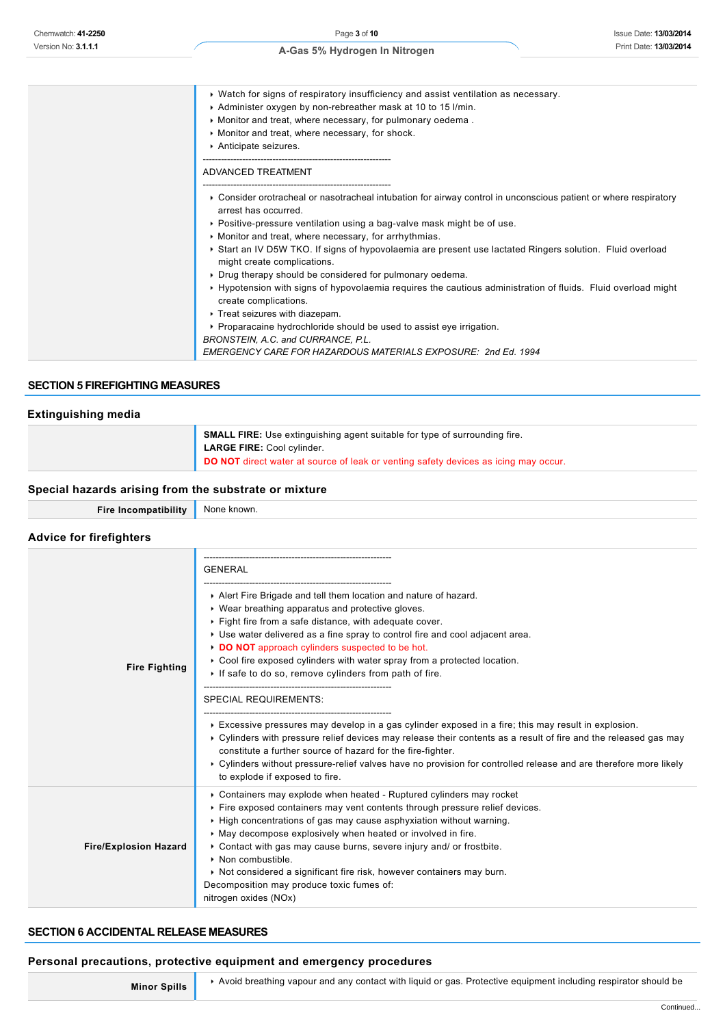- Watch for signs of respiratory insufficiency and assist ventilation as necessary.
- Administer oxygen by non-rebreather mask at 10 to 15 l/min.
- Monitor and treat, where necessary, for pulmonary oedema .
- Monitor and treat, where necessary, for shock.
- Anticipate seizures.
- --------------------------------------------------------------

--------------------------------------------------------------

ADVANCED TREATMENT

- Consider orotracheal or nasotracheal intubation for airway control in unconscious patient or where respiratory arrest has occurred.
- Positive-pressure ventilation using a bag-valve mask might be of use.
- $\blacktriangleright$  Monitor and treat, where necessary, for arrhythmias.
- Start an IV D5W TKO. If signs of hypovolaemia are present use lactated Ringers solution. Fluid overload might create complications.
- Drug therapy should be considered for pulmonary oedema.
- Hypotension with signs of hypovolaemia requires the cautious administration of fluids. Fluid overload might create complications.
- **F** Treat seizures with diazepam.
- Proparacaine hydrochloride should be used to assist eye irrigation.
- *BRONSTEIN, A.C. and CURRANCE, P.L.*

*EMERGENCY CARE FOR HAZARDOUS MATERIALS EXPOSURE: 2nd Ed. 1994*

### **SECTION 5 FIREFIGHTING MEASURES**

#### **Extinguishing media**

| <b>SMALL FIRE:</b> Use extinguishing agent suitable for type of surrounding fire.<br><b>LARGE FIRE: Cool cylinder.</b><br><b>DO NOT</b> direct water at source of leak or venting safety devices as icing may occur. |
|----------------------------------------------------------------------------------------------------------------------------------------------------------------------------------------------------------------------|
|----------------------------------------------------------------------------------------------------------------------------------------------------------------------------------------------------------------------|

### **Special hazards arising from the substrate or mixture**

|                      | None known. |
|----------------------|-------------|
| Fire Incompatibility |             |
|                      |             |

### **Advice for firefighters**

| <b>Fire Fighting</b>         | <b>GENERAL</b><br>Alert Fire Brigade and tell them location and nature of hazard.<br>▶ Wear breathing apparatus and protective gloves.<br>Fight fire from a safe distance, with adequate cover.<br>► Use water delivered as a fine spray to control fire and cool adjacent area.<br>DO NOT approach cylinders suspected to be hot.<br>► Cool fire exposed cylinders with water spray from a protected location.<br>If safe to do so, remove cylinders from path of fire.<br><b>SPECIAL REQUIREMENTS:</b><br>Excessive pressures may develop in a gas cylinder exposed in a fire; this may result in explosion.<br>► Cylinders with pressure relief devices may release their contents as a result of fire and the released gas may<br>constitute a further source of hazard for the fire-fighter.<br>▶ Cylinders without pressure-relief valves have no provision for controlled release and are therefore more likely<br>to explode if exposed to fire. |
|------------------------------|----------------------------------------------------------------------------------------------------------------------------------------------------------------------------------------------------------------------------------------------------------------------------------------------------------------------------------------------------------------------------------------------------------------------------------------------------------------------------------------------------------------------------------------------------------------------------------------------------------------------------------------------------------------------------------------------------------------------------------------------------------------------------------------------------------------------------------------------------------------------------------------------------------------------------------------------------------|
| <b>Fire/Explosion Hazard</b> | ► Containers may explode when heated - Ruptured cylinders may rocket<br>Fire exposed containers may vent contents through pressure relief devices.<br>► High concentrations of gas may cause asphyxiation without warning.<br>May decompose explosively when heated or involved in fire.<br>• Contact with gas may cause burns, severe injury and/ or frostbite.<br>• Non combustible.<br>► Not considered a significant fire risk, however containers may burn.<br>Decomposition may produce toxic fumes of:<br>nitrogen oxides (NOx)                                                                                                                                                                                                                                                                                                                                                                                                                   |

### **SECTION 6 ACCIDENTAL RELEASE MEASURES**

#### **Personal precautions, protective equipment and emergency procedures**

**Minor Spills** Avoid breathing vapour and any contact with liquid or gas. Protective equipment including respirator should be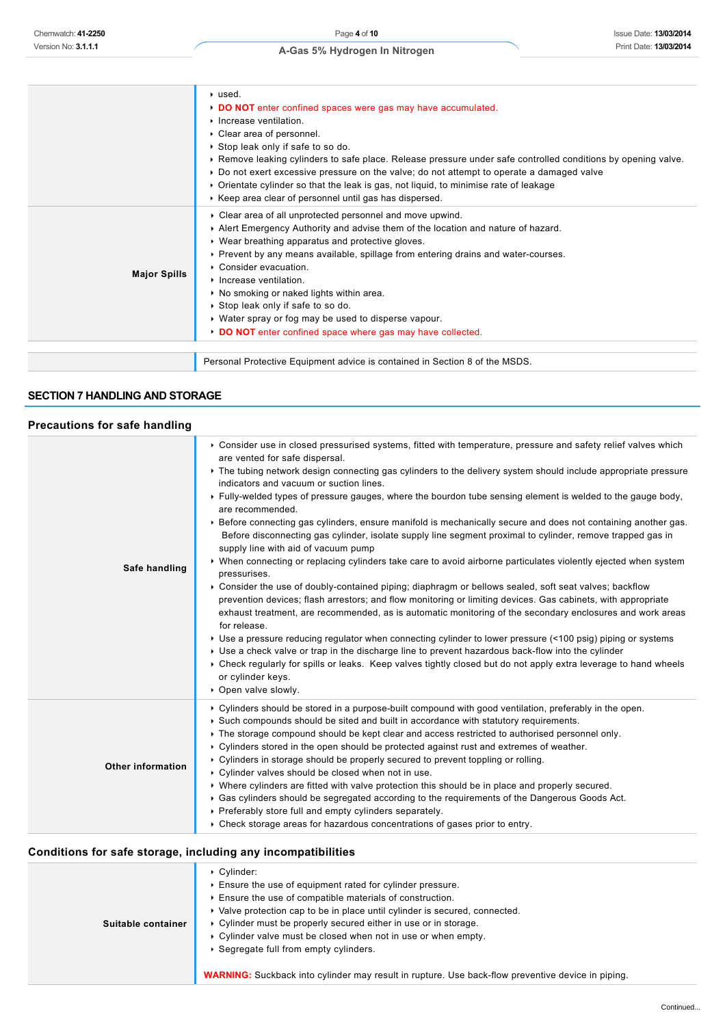|                                                                                                                                                                                                                                                                                                                                                                                                                                                                                                                        | ▶ used.<br>DO NOT enter confined spaces were gas may have accumulated.<br>Increase ventilation.<br>Clear area of personnel.<br>Stop leak only if safe to so do.<br>► Remove leaking cylinders to safe place. Release pressure under safe controlled conditions by opening valve.<br>▶ Do not exert excessive pressure on the valve; do not attempt to operate a damaged valve<br>▶ Orientate cylinder so that the leak is gas, not liquid, to minimise rate of leakage<br>► Keep area clear of personnel until gas has dispersed. |
|------------------------------------------------------------------------------------------------------------------------------------------------------------------------------------------------------------------------------------------------------------------------------------------------------------------------------------------------------------------------------------------------------------------------------------------------------------------------------------------------------------------------|-----------------------------------------------------------------------------------------------------------------------------------------------------------------------------------------------------------------------------------------------------------------------------------------------------------------------------------------------------------------------------------------------------------------------------------------------------------------------------------------------------------------------------------|
| Alert Emergency Authority and advise them of the location and nature of hazard.<br>▶ Wear breathing apparatus and protective gloves.<br>▶ Prevent by any means available, spillage from entering drains and water-courses.<br>$\triangleright$ Consider evacuation<br><b>Major Spills</b><br>Increase ventilation.<br>No smoking or naked lights within area.<br>Stop leak only if safe to so do.<br>• Water spray or fog may be used to disperse vapour.<br>DO NOT enter confined space where gas may have collected. | • Clear area of all unprotected personnel and move upwind.                                                                                                                                                                                                                                                                                                                                                                                                                                                                        |
| Personal Protective Equipment advice is contained in Section 8 of the MSDS.                                                                                                                                                                                                                                                                                                                                                                                                                                            |                                                                                                                                                                                                                                                                                                                                                                                                                                                                                                                                   |

# **SECTION 7 HANDLING AND STORAGE**

# **Precautions for safe handling**

| Version No: 3.1.1.1                                          | Print Date: 13/03/2014                                                                                           |  |
|--------------------------------------------------------------|------------------------------------------------------------------------------------------------------------------|--|
|                                                              | A-Gas 5% Hydrogen In Nitrogen                                                                                    |  |
|                                                              |                                                                                                                  |  |
|                                                              |                                                                                                                  |  |
|                                                              | ▶ used.                                                                                                          |  |
|                                                              |                                                                                                                  |  |
|                                                              | DO NOT enter confined spaces were gas may have accumulated.                                                      |  |
|                                                              | Increase ventilation.                                                                                            |  |
|                                                              | • Clear area of personnel.                                                                                       |  |
|                                                              | Stop leak only if safe to so do.                                                                                 |  |
|                                                              | ► Remove leaking cylinders to safe place. Release pressure under safe controlled conditions by opening valve.    |  |
|                                                              | ▶ Do not exert excessive pressure on the valve; do not attempt to operate a damaged valve                        |  |
|                                                              | ▶ Orientate cylinder so that the leak is gas, not liquid, to minimise rate of leakage                            |  |
|                                                              | ► Keep area clear of personnel until gas has dispersed.                                                          |  |
|                                                              | • Clear area of all unprotected personnel and move upwind.                                                       |  |
|                                                              | Alert Emergency Authority and advise them of the location and nature of hazard.                                  |  |
|                                                              | ▶ Wear breathing apparatus and protective gloves.                                                                |  |
|                                                              | ▶ Prevent by any means available, spillage from entering drains and water-courses.                               |  |
|                                                              | Consider evacuation.                                                                                             |  |
| <b>Major Spills</b>                                          | Increase ventilation.                                                                                            |  |
|                                                              | ▶ No smoking or naked lights within area.                                                                        |  |
|                                                              | Stop leak only if safe to so do.                                                                                 |  |
|                                                              | • Water spray or fog may be used to disperse vapour.                                                             |  |
|                                                              | DO NOT enter confined space where gas may have collected.                                                        |  |
|                                                              |                                                                                                                  |  |
|                                                              | Personal Protective Equipment advice is contained in Section 8 of the MSDS.                                      |  |
|                                                              |                                                                                                                  |  |
|                                                              |                                                                                                                  |  |
| <b>SECTION 7 HANDLING AND STORAGE</b>                        |                                                                                                                  |  |
|                                                              |                                                                                                                  |  |
| <b>Precautions for safe handling</b>                         |                                                                                                                  |  |
|                                                              |                                                                                                                  |  |
|                                                              | ► Consider use in closed pressurised systems, fitted with temperature, pressure and safety relief valves which   |  |
|                                                              | are vented for safe dispersal.                                                                                   |  |
|                                                              | ► The tubing network design connecting gas cylinders to the delivery system should include appropriate pressure  |  |
|                                                              | indicators and vacuum or suction lines.                                                                          |  |
|                                                              | ▶ Fully-welded types of pressure gauges, where the bourdon tube sensing element is welded to the gauge body,     |  |
|                                                              | are recommended.                                                                                                 |  |
|                                                              | ▶ Before connecting gas cylinders, ensure manifold is mechanically secure and does not containing another gas.   |  |
|                                                              | Before disconnecting gas cylinder, isolate supply line segment proximal to cylinder, remove trapped gas in       |  |
|                                                              |                                                                                                                  |  |
|                                                              | supply line with aid of vacuum pump                                                                              |  |
|                                                              | ▶ When connecting or replacing cylinders take care to avoid airborne particulates violently ejected when system  |  |
| Safe handling                                                | pressurises.                                                                                                     |  |
|                                                              | ▶ Consider the use of doubly-contained piping; diaphragm or bellows sealed, soft seat valves; backflow           |  |
|                                                              | prevention devices; flash arrestors; and flow monitoring or limiting devices. Gas cabinets, with appropriate     |  |
|                                                              | exhaust treatment, are recommended, as is automatic monitoring of the secondary enclosures and work areas        |  |
|                                                              | for release.                                                                                                     |  |
|                                                              | ► Use a pressure reducing regulator when connecting cylinder to lower pressure (<100 psig) piping or systems     |  |
|                                                              | ► Use a check valve or trap in the discharge line to prevent hazardous back-flow into the cylinder               |  |
|                                                              | ► Check regularly for spills or leaks. Keep valves tightly closed but do not apply extra leverage to hand wheels |  |
|                                                              | or cylinder keys.                                                                                                |  |
|                                                              | • Open valve slowly.                                                                                             |  |
|                                                              |                                                                                                                  |  |
|                                                              | ► Cylinders should be stored in a purpose-built compound with good ventilation, preferably in the open.          |  |
|                                                              | ► Such compounds should be sited and built in accordance with statutory requirements.                            |  |
|                                                              | ► The storage compound should be kept clear and access restricted to authorised personnel only.                  |  |
|                                                              | ► Cylinders stored in the open should be protected against rust and extremes of weather.                         |  |
| <b>Other information</b>                                     | ► Cylinders in storage should be properly secured to prevent toppling or rolling.                                |  |
|                                                              | ▶ Cylinder valves should be closed when not in use.                                                              |  |
|                                                              | ► Where cylinders are fitted with valve protection this should be in place and properly secured.                 |  |
|                                                              | ► Gas cylinders should be segregated according to the requirements of the Dangerous Goods Act.                   |  |
|                                                              | • Preferably store full and empty cylinders separately.                                                          |  |
|                                                              | $\triangleright$ Check storage areas for hazardous concentrations of gases prior to entry.                       |  |
| Conditions for safe storage, including any incompatibilities |                                                                                                                  |  |
|                                                              |                                                                                                                  |  |
|                                                              | Cylinder:                                                                                                        |  |
|                                                              | Ensure the use of equipment rated for cylinder pressure.                                                         |  |
|                                                              | Ensure the use of compatible materials of construction.                                                          |  |
|                                                              | ► Valve protection cap to be in place until cylinder is secured, connected.                                      |  |
| Suitable container                                           | • Cylinder must be properly secured either in use or in storage.                                                 |  |
|                                                              | • Cylinder valve must be closed when not in use or when empty.                                                   |  |
|                                                              | ▶ Segregate full from empty cylinders.                                                                           |  |

# **Conditions for safe storage, including any incompatibilities**

| Conditions for sale storage, including any incompatibilities |                                                                                                                                                                                                                                                                                                                                                                                                                                                                                                                              |
|--------------------------------------------------------------|------------------------------------------------------------------------------------------------------------------------------------------------------------------------------------------------------------------------------------------------------------------------------------------------------------------------------------------------------------------------------------------------------------------------------------------------------------------------------------------------------------------------------|
| Suitable container                                           | $\triangleright$ Cylinder:<br>Ensure the use of equipment rated for cylinder pressure.<br>Ensure the use of compatible materials of construction.<br>▶ Valve protection cap to be in place until cylinder is secured, connected.<br>• Cylinder must be properly secured either in use or in storage.<br>• Cylinder valve must be closed when not in use or when empty.<br>▶ Segregate full from empty cylinders.<br><b>WARNING:</b> Suckback into cylinder may result in rupture. Use back-flow preventive device in piping. |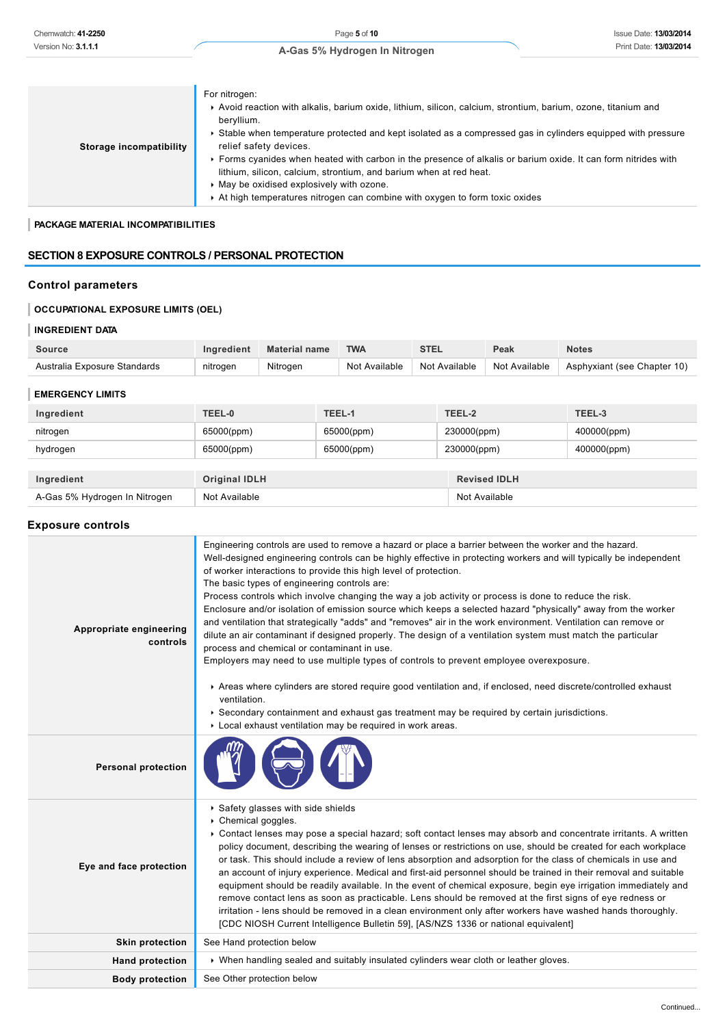| Storage incompatibility | For nitrogen:<br>Avoid reaction with alkalis, barium oxide, lithium, silicon, calcium, strontium, barium, ozone, titanium and<br>beryllium.<br>▶ Stable when temperature protected and kept isolated as a compressed gas in cylinders equipped with pressure<br>relief safety devices.<br>Forms cyanides when heated with carbon in the presence of alkalis or barium oxide. It can form nitrides with |
|-------------------------|--------------------------------------------------------------------------------------------------------------------------------------------------------------------------------------------------------------------------------------------------------------------------------------------------------------------------------------------------------------------------------------------------------|
|                         | lithium, silicon, calcium, strontium, and barium when at red heat.                                                                                                                                                                                                                                                                                                                                     |
|                         | May be oxidised explosively with ozone.                                                                                                                                                                                                                                                                                                                                                                |
|                         | At high temperatures nitrogen can combine with oxygen to form toxic oxides                                                                                                                                                                                                                                                                                                                             |

### **PACKAGE MATERIAL INCOMPATIBILITIES**

### **SECTION 8 EXPOSURE CONTROLS / PERSONAL PROTECTION**

# **Control parameters**

# **OCCUPATIONAL EXPOSURE LIMITS (OEL)**

### **INGREDIENT DATA**

| Source                       | naredient | <b>Material name</b> | <b>TWA</b>       | <b>CTF</b>    | Peak          | <b>Notes</b>                |
|------------------------------|-----------|----------------------|------------------|---------------|---------------|-----------------------------|
| Australia Exposure Standards | nitrogen  | Nitrogen             | Not<br>Available | Not Available | Not Available | Asphyxiant (see Chapter 10) |

#### **EMERGENCY LIMITS**

| Ingredient                    | TEEL-0               | TEEL-1     | TEEL-2              | TEEL-3      |
|-------------------------------|----------------------|------------|---------------------|-------------|
| nitrogen                      | 65000(ppm)           | 65000(ppm) | 230000(ppm)         | 400000(ppm) |
| hydrogen                      | 65000(ppm)           | 65000(ppm) | 230000(ppm)         | 400000(ppm) |
|                               |                      |            |                     |             |
| Ingredient                    | <b>Original IDLH</b> |            | <b>Revised IDLH</b> |             |
| A-Gas 5% Hydrogen In Nitrogen | Not Available        |            | Not Available       |             |

### **Exposure controls**

| Chemwatch: 41-2250                                       |                             |                                                                                             |  | Page 5 of 10                                                                                                                                               |             |               |                     | <b>Issue Date: 13/03/2014</b>                                                                                                                                                                                                                                                                                                                                                                                                                                                                                                                                                                                                                                                                                                                                                                                      |
|----------------------------------------------------------|-----------------------------|---------------------------------------------------------------------------------------------|--|------------------------------------------------------------------------------------------------------------------------------------------------------------|-------------|---------------|---------------------|--------------------------------------------------------------------------------------------------------------------------------------------------------------------------------------------------------------------------------------------------------------------------------------------------------------------------------------------------------------------------------------------------------------------------------------------------------------------------------------------------------------------------------------------------------------------------------------------------------------------------------------------------------------------------------------------------------------------------------------------------------------------------------------------------------------------|
| Version No: 3.1.1.1                                      |                             |                                                                                             |  | A-Gas 5% Hydrogen In Nitrogen                                                                                                                              |             |               |                     | Print Date: 13/03/2014                                                                                                                                                                                                                                                                                                                                                                                                                                                                                                                                                                                                                                                                                                                                                                                             |
| <b>Storage incompatibility</b>                           | For nitrogen:<br>beryllium. | relief safety devices.<br>• May be oxidised explosively with ozone.                         |  | lithium, silicon, calcium, strontium, and barium when at red heat.<br>At high temperatures nitrogen can combine with oxygen to form toxic oxides           |             |               |                     | Avoid reaction with alkalis, barium oxide, lithium, silicon, calcium, strontium, barium, ozone, titanium and<br>▶ Stable when temperature protected and kept isolated as a compressed gas in cylinders equipped with pressure<br>► Forms cyanides when heated with carbon in the presence of alkalis or barium oxide. It can form nitrides with                                                                                                                                                                                                                                                                                                                                                                                                                                                                    |
| PACKAGE MATERIAL INCOMPATIBILITIES                       |                             |                                                                                             |  |                                                                                                                                                            |             |               |                     |                                                                                                                                                                                                                                                                                                                                                                                                                                                                                                                                                                                                                                                                                                                                                                                                                    |
| <b>SECTION 8 EXPOSURE CONTROLS / PERSONAL PROTECTION</b> |                             |                                                                                             |  |                                                                                                                                                            |             |               |                     |                                                                                                                                                                                                                                                                                                                                                                                                                                                                                                                                                                                                                                                                                                                                                                                                                    |
| <b>Control parameters</b>                                |                             |                                                                                             |  |                                                                                                                                                            |             |               |                     |                                                                                                                                                                                                                                                                                                                                                                                                                                                                                                                                                                                                                                                                                                                                                                                                                    |
| <b>OCCUPATIONAL EXPOSURE LIMITS (OEL)</b>                |                             |                                                                                             |  |                                                                                                                                                            |             |               |                     |                                                                                                                                                                                                                                                                                                                                                                                                                                                                                                                                                                                                                                                                                                                                                                                                                    |
| <b>INGREDIENT DATA</b>                                   |                             |                                                                                             |  |                                                                                                                                                            |             |               |                     |                                                                                                                                                                                                                                                                                                                                                                                                                                                                                                                                                                                                                                                                                                                                                                                                                    |
| <b>Source</b>                                            | Ingredient                  | <b>Material name</b>                                                                        |  | <b>TWA</b>                                                                                                                                                 | <b>STEL</b> |               | Peak                | <b>Notes</b>                                                                                                                                                                                                                                                                                                                                                                                                                                                                                                                                                                                                                                                                                                                                                                                                       |
| Australia Exposure Standards                             | nitrogen                    | Nitrogen                                                                                    |  | Not Available                                                                                                                                              |             | Not Available | Not Available       | Asphyxiant (see Chapter 10)                                                                                                                                                                                                                                                                                                                                                                                                                                                                                                                                                                                                                                                                                                                                                                                        |
| <b>EMERGENCY LIMITS</b>                                  |                             |                                                                                             |  |                                                                                                                                                            |             |               |                     |                                                                                                                                                                                                                                                                                                                                                                                                                                                                                                                                                                                                                                                                                                                                                                                                                    |
| Ingredient                                               | TEEL-0                      |                                                                                             |  | TEEL-1                                                                                                                                                     |             | TEEL-2        |                     | TEEL-3                                                                                                                                                                                                                                                                                                                                                                                                                                                                                                                                                                                                                                                                                                                                                                                                             |
| nitrogen                                                 | 65000(ppm)                  |                                                                                             |  | 65000(ppm)                                                                                                                                                 |             | 230000(ppm)   |                     | 400000(ppm)                                                                                                                                                                                                                                                                                                                                                                                                                                                                                                                                                                                                                                                                                                                                                                                                        |
| hydrogen                                                 | 65000(ppm)                  |                                                                                             |  | 65000(ppm)                                                                                                                                                 |             | 230000(ppm)   |                     | 400000(ppm)                                                                                                                                                                                                                                                                                                                                                                                                                                                                                                                                                                                                                                                                                                                                                                                                        |
| Ingredient                                               | <b>Original IDLH</b>        |                                                                                             |  |                                                                                                                                                            |             |               | <b>Revised IDLH</b> |                                                                                                                                                                                                                                                                                                                                                                                                                                                                                                                                                                                                                                                                                                                                                                                                                    |
| A-Gas 5% Hydrogen In Nitrogen                            | Not Available               |                                                                                             |  |                                                                                                                                                            |             | Not Available |                     |                                                                                                                                                                                                                                                                                                                                                                                                                                                                                                                                                                                                                                                                                                                                                                                                                    |
|                                                          |                             |                                                                                             |  |                                                                                                                                                            |             |               |                     |                                                                                                                                                                                                                                                                                                                                                                                                                                                                                                                                                                                                                                                                                                                                                                                                                    |
| <b>Exposure controls</b>                                 |                             |                                                                                             |  |                                                                                                                                                            |             |               |                     |                                                                                                                                                                                                                                                                                                                                                                                                                                                                                                                                                                                                                                                                                                                                                                                                                    |
| Appropriate engineering<br>controls                      |                             | The basic types of engineering controls are:<br>process and chemical or contaminant in use. |  | of worker interactions to provide this high level of protection.<br>Employers may need to use multiple types of controls to prevent employee overexposure. |             |               |                     | Engineering controls are used to remove a hazard or place a barrier between the worker and the hazard.<br>Well-designed engineering controls can be highly effective in protecting workers and will typically be independent<br>Process controls which involve changing the way a job activity or process is done to reduce the risk.<br>Enclosure and/or isolation of emission source which keeps a selected hazard "physically" away from the worker<br>and ventilation that strategically "adds" and "removes" air in the work environment. Ventilation can remove or<br>dilute an air contaminant if designed properly. The design of a ventilation system must match the particular                                                                                                                           |
|                                                          | ventilation.                |                                                                                             |  | ▶ Secondary containment and exhaust gas treatment may be required by certain jurisdictions.<br>Local exhaust ventilation may be required in work areas.    |             |               |                     | Areas where cylinders are stored require good ventilation and, if enclosed, need discrete/controlled exhaust                                                                                                                                                                                                                                                                                                                                                                                                                                                                                                                                                                                                                                                                                                       |
| <b>Personal protection</b>                               |                             |                                                                                             |  |                                                                                                                                                            |             |               |                     |                                                                                                                                                                                                                                                                                                                                                                                                                                                                                                                                                                                                                                                                                                                                                                                                                    |
| Eye and face protection                                  | ▶ Chemical goggles.         | ▶ Safety glasses with side shields                                                          |  | [CDC NIOSH Current Intelligence Bulletin 59], [AS/NZS 1336 or national equivalent]                                                                         |             |               |                     | ► Contact lenses may pose a special hazard; soft contact lenses may absorb and concentrate irritants. A written<br>policy document, describing the wearing of lenses or restrictions on use, should be created for each workplace<br>or task. This should include a review of lens absorption and adsorption for the class of chemicals in use and<br>an account of injury experience. Medical and first-aid personnel should be trained in their removal and suitable<br>equipment should be readily available. In the event of chemical exposure, begin eye irrigation immediately and<br>remove contact lens as soon as practicable. Lens should be removed at the first signs of eye redness or<br>irritation - lens should be removed in a clean environment only after workers have washed hands thoroughly. |
| <b>Skin protection</b>                                   |                             | See Hand protection below                                                                   |  |                                                                                                                                                            |             |               |                     |                                                                                                                                                                                                                                                                                                                                                                                                                                                                                                                                                                                                                                                                                                                                                                                                                    |
| <b>Hand protection</b>                                   |                             |                                                                                             |  | ► When handling sealed and suitably insulated cylinders wear cloth or leather gloves.                                                                      |             |               |                     |                                                                                                                                                                                                                                                                                                                                                                                                                                                                                                                                                                                                                                                                                                                                                                                                                    |
| <b>Body protection</b>                                   |                             | See Other protection below                                                                  |  |                                                                                                                                                            |             |               |                     |                                                                                                                                                                                                                                                                                                                                                                                                                                                                                                                                                                                                                                                                                                                                                                                                                    |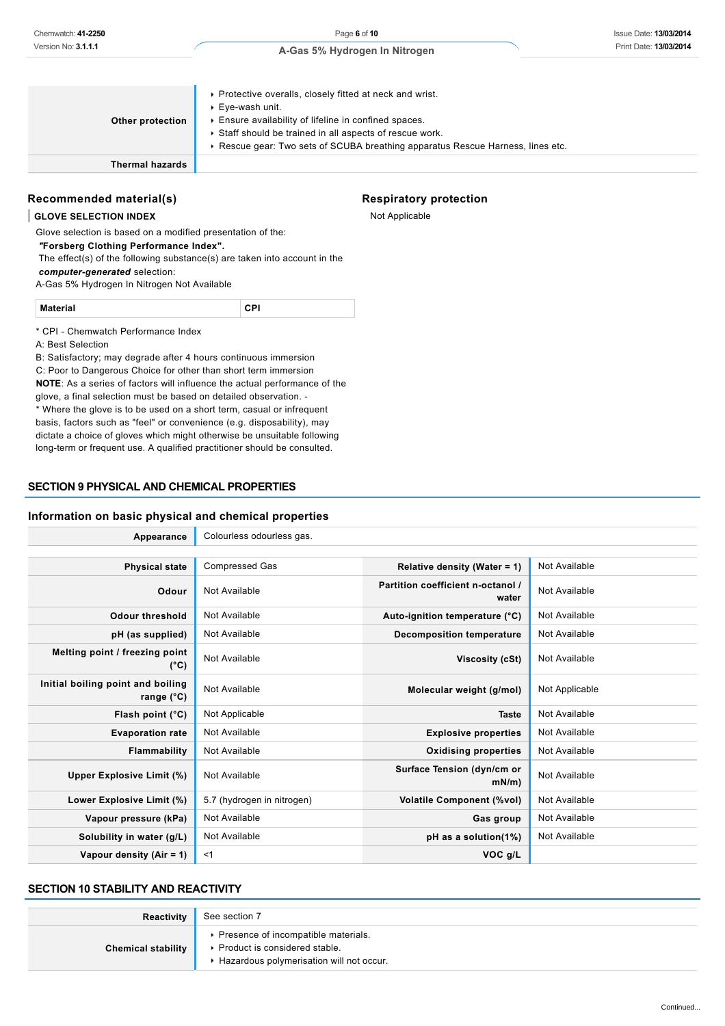| Other protection       | • Protective overalls, closely fitted at neck and wrist.<br>▶ Eye-wash unit.<br>Ensure availability of lifeline in confined spaces.<br>Staff should be trained in all aspects of rescue work.<br>► Rescue gear: Two sets of SCUBA breathing apparatus Rescue Harness, lines etc. |
|------------------------|----------------------------------------------------------------------------------------------------------------------------------------------------------------------------------------------------------------------------------------------------------------------------------|
| <b>Thermal hazards</b> |                                                                                                                                                                                                                                                                                  |

### **Recommended material(s)**

#### **GLOVE SELECTION INDEX**

Glove selection is based on a modified presentation of the:  *"***Forsberg Clothing Performance Index".** The effect(s) of the following substance(s) are taken into account in the

*computer-generated* selection:

A-Gas 5% Hydrogen In Nitrogen Not Available

| .  |  |
|----|--|
| __ |  |

\* CPI - Chemwatch Performance Index

A: Best Selection

B: Satisfactory; may degrade after 4 hours continuous immersion C: Poor to Dangerous Choice for other than short term immersion **NOTE**: As a series of factors will influence the actual performance of the glove, a final selection must be based on detailed observation. - \* Where the glove is to be used on a short term, casual or infrequent basis, factors such as "feel" or convenience (e.g. disposability), may dictate a choice of gloves which might otherwise be unsuitable following long-term or frequent use. A qualified practitioner should be consulted.

# **SECTION 9 PHYSICAL AND CHEMICAL PROPERTIES**

### **Information on basic physical and chemical properties**

| Appearance                                               | Colourless odourless gas.  |                                            |                |
|----------------------------------------------------------|----------------------------|--------------------------------------------|----------------|
|                                                          |                            |                                            |                |
| <b>Physical state</b>                                    | <b>Compressed Gas</b>      | Relative density (Water = 1)               | Not Available  |
| Odour                                                    | Not Available              | Partition coefficient n-octanol /<br>water | Not Available  |
| <b>Odour threshold</b>                                   | Not Available              | Auto-ignition temperature (°C)             | Not Available  |
| pH (as supplied)                                         | Not Available              | <b>Decomposition temperature</b>           | Not Available  |
| Melting point / freezing point<br>$(^{\circ}C)$          | Not Available              | Viscosity (cSt)                            | Not Available  |
| Initial boiling point and boiling<br>range $(^{\circ}C)$ | Not Available              | Molecular weight (g/mol)                   | Not Applicable |
| Flash point $(^{\circ}C)$                                | Not Applicable             | <b>Taste</b>                               | Not Available  |
| <b>Evaporation rate</b>                                  | Not Available              | <b>Explosive properties</b>                | Not Available  |
| Flammability                                             | Not Available              | <b>Oxidising properties</b>                | Not Available  |
| Upper Explosive Limit (%)                                | Not Available              | Surface Tension (dyn/cm or<br>mN/m         | Not Available  |
| Lower Explosive Limit (%)                                | 5.7 (hydrogen in nitrogen) | <b>Volatile Component (%vol)</b>           | Not Available  |
| Vapour pressure (kPa)                                    | Not Available              | Gas group                                  | Not Available  |
| Solubility in water (g/L)                                | Not Available              | pH as a solution(1%)                       | Not Available  |
| Vapour density (Air = 1)                                 | $<$ 1                      | VOC g/L                                    |                |

# **SECTION 10 STABILITY AND REACTIVITY**

| Reactivity                | See section 7                                                                                                        |
|---------------------------|----------------------------------------------------------------------------------------------------------------------|
| <b>Chemical stability</b> | ▶ Presence of incompatible materials.<br>▶ Product is considered stable.<br>Hazardous polymerisation will not occur. |

# **Respiratory protection**

Not Applicable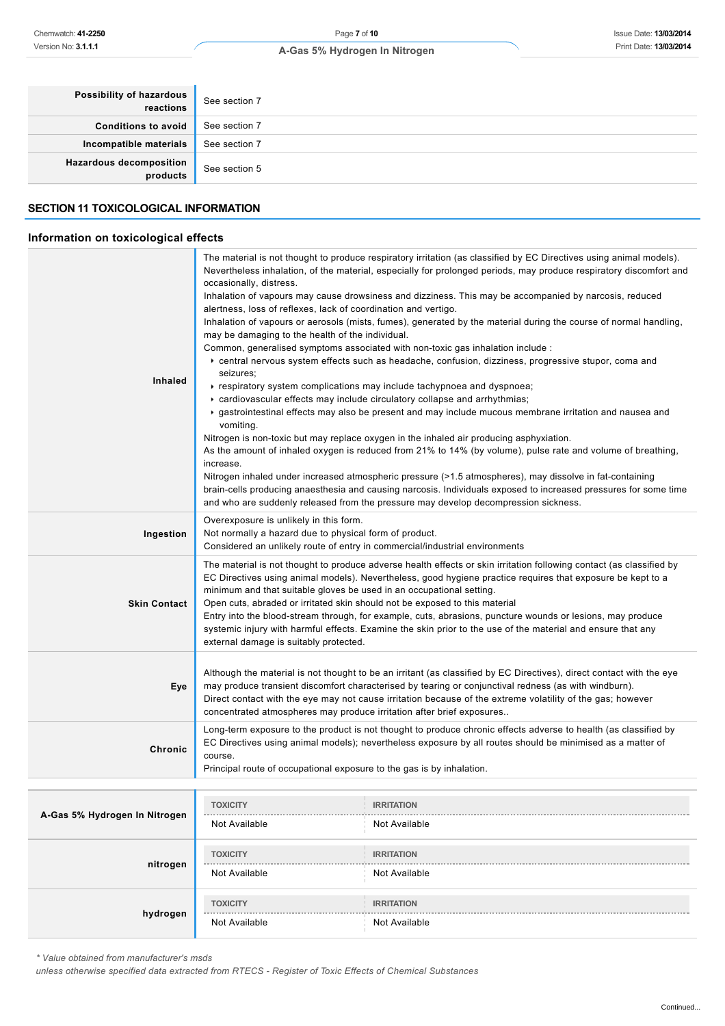| Possibility of hazardous<br>reactions      | See section 7 |
|--------------------------------------------|---------------|
| <b>Conditions to avoid</b>                 | See section 7 |
| Incompatible materials                     | See section 7 |
| <b>Hazardous decomposition</b><br>products | See section 5 |

# **SECTION 11 TOXICOLOGICAL INFORMATION**

# **Information on toxicological effects**

| Version No: 3.1.1.1                         | A-Gas 5% Hydrogen In Nitrogen                          | Print Date: 13/03/2014                                                                                                                                                                                                       |  |
|---------------------------------------------|--------------------------------------------------------|------------------------------------------------------------------------------------------------------------------------------------------------------------------------------------------------------------------------------|--|
|                                             |                                                        |                                                                                                                                                                                                                              |  |
| Possibility of hazardous                    |                                                        |                                                                                                                                                                                                                              |  |
| reactions                                   | See section 7                                          |                                                                                                                                                                                                                              |  |
| <b>Conditions to avoid</b>                  | See section 7                                          |                                                                                                                                                                                                                              |  |
| Incompatible materials                      | See section 7                                          |                                                                                                                                                                                                                              |  |
| <b>Hazardous decomposition</b><br>products  | See section 5                                          |                                                                                                                                                                                                                              |  |
| <b>SECTION 11 TOXICOLOGICAL INFORMATION</b> |                                                        |                                                                                                                                                                                                                              |  |
| Information on toxicological effects        |                                                        |                                                                                                                                                                                                                              |  |
|                                             |                                                        | The material is not thought to produce respiratory irritation (as classified by EC Directives using animal models).                                                                                                          |  |
|                                             | occasionally, distress.                                | Nevertheless inhalation, of the material, especially for prolonged periods, may produce respiratory discomfort and                                                                                                           |  |
|                                             |                                                        | Inhalation of vapours may cause drowsiness and dizziness. This may be accompanied by narcosis, reduced                                                                                                                       |  |
|                                             |                                                        | alertness, loss of reflexes, lack of coordination and vertigo.                                                                                                                                                               |  |
|                                             | may be damaging to the health of the individual.       | Inhalation of vapours or aerosols (mists, fumes), generated by the material during the course of normal handling,                                                                                                            |  |
|                                             |                                                        | Common, generalised symptoms associated with non-toxic gas inhalation include :                                                                                                                                              |  |
|                                             |                                                        | ▶ central nervous system effects such as headache, confusion, dizziness, progressive stupor, coma and                                                                                                                        |  |
|                                             | seizures;                                              |                                                                                                                                                                                                                              |  |
| Inhaled                                     |                                                        | ► respiratory system complications may include tachypnoea and dyspnoea;                                                                                                                                                      |  |
|                                             |                                                        | cardiovascular effects may include circulatory collapse and arrhythmias;                                                                                                                                                     |  |
|                                             |                                                        | gastrointestinal effects may also be present and may include mucous membrane irritation and nausea and                                                                                                                       |  |
|                                             | vomiting.                                              |                                                                                                                                                                                                                              |  |
|                                             |                                                        | Nitrogen is non-toxic but may replace oxygen in the inhaled air producing asphyxiation.                                                                                                                                      |  |
|                                             |                                                        | As the amount of inhaled oxygen is reduced from 21% to 14% (by volume), pulse rate and volume of breathing,                                                                                                                  |  |
|                                             | increase.                                              |                                                                                                                                                                                                                              |  |
|                                             |                                                        | Nitrogen inhaled under increased atmospheric pressure (>1.5 atmospheres), may dissolve in fat-containing<br>brain-cells producing anaesthesia and causing narcosis. Individuals exposed to increased pressures for some time |  |
|                                             |                                                        | and who are suddenly released from the pressure may develop decompression sickness.                                                                                                                                          |  |
|                                             | Overexposure is unlikely in this form.                 |                                                                                                                                                                                                                              |  |
| Ingestion                                   | Not normally a hazard due to physical form of product. |                                                                                                                                                                                                                              |  |
|                                             |                                                        | Considered an unlikely route of entry in commercial/industrial environments                                                                                                                                                  |  |
|                                             |                                                        | The material is not thought to produce adverse health effects or skin irritation following contact (as classified by                                                                                                         |  |
|                                             |                                                        | EC Directives using animal models). Nevertheless, good hygiene practice requires that exposure be kept to a                                                                                                                  |  |
|                                             |                                                        | minimum and that suitable gloves be used in an occupational setting.                                                                                                                                                         |  |
| <b>Skin Contact</b>                         |                                                        | Open cuts, abraded or irritated skin should not be exposed to this material                                                                                                                                                  |  |
|                                             |                                                        | Entry into the blood-stream through, for example, cuts, abrasions, puncture wounds or lesions, may produce                                                                                                                   |  |
|                                             | external damage is suitably protected.                 | systemic injury with harmful effects. Examine the skin prior to the use of the material and ensure that any                                                                                                                  |  |
|                                             |                                                        |                                                                                                                                                                                                                              |  |
|                                             |                                                        | Although the material is not thought to be an irritant (as classified by EC Directives), direct contact with the eye                                                                                                         |  |
| Eye                                         |                                                        | may produce transient discomfort characterised by tearing or conjunctival redness (as with windburn).<br>Direct contact with the eye may not cause irritation because of the extreme volatility of the gas; however          |  |
|                                             |                                                        | concentrated atmospheres may produce irritation after brief exposures                                                                                                                                                        |  |
|                                             |                                                        | Long-term exposure to the product is not thought to produce chronic effects adverse to health (as classified by                                                                                                              |  |
|                                             |                                                        | EC Directives using animal models); nevertheless exposure by all routes should be minimised as a matter of                                                                                                                   |  |
| Chronic                                     | course.                                                |                                                                                                                                                                                                                              |  |
|                                             |                                                        | Principal route of occupational exposure to the gas is by inhalation.                                                                                                                                                        |  |
|                                             |                                                        |                                                                                                                                                                                                                              |  |
|                                             | <b>TOXICITY</b>                                        | <b>IRRITATION</b>                                                                                                                                                                                                            |  |
| A-Gas 5% Hydrogen In Nitrogen               | Not Available                                          | Not Available                                                                                                                                                                                                                |  |
|                                             |                                                        |                                                                                                                                                                                                                              |  |
| nitrogen                                    | <b>TOXICITY</b>                                        | <b>IRRITATION</b>                                                                                                                                                                                                            |  |
|                                             | Not Available                                          | Not Available                                                                                                                                                                                                                |  |
|                                             | <b>TOXICITY</b>                                        | <b>IRRITATION</b>                                                                                                                                                                                                            |  |
| hydrogen                                    |                                                        |                                                                                                                                                                                                                              |  |

|          | <b>IVOL AVAIIQUIC</b>            | <b>IVOL AVAIIQUIC</b>              |
|----------|----------------------------------|------------------------------------|
| nitrogen | <b>TOXICITY</b><br>Not Available | <b>IRRITATION</b><br>Not Available |
|          | <b>TOXICITY</b>                  | <b>IRRITATION</b>                  |
| hydrogen | Not Available                    | Not Available                      |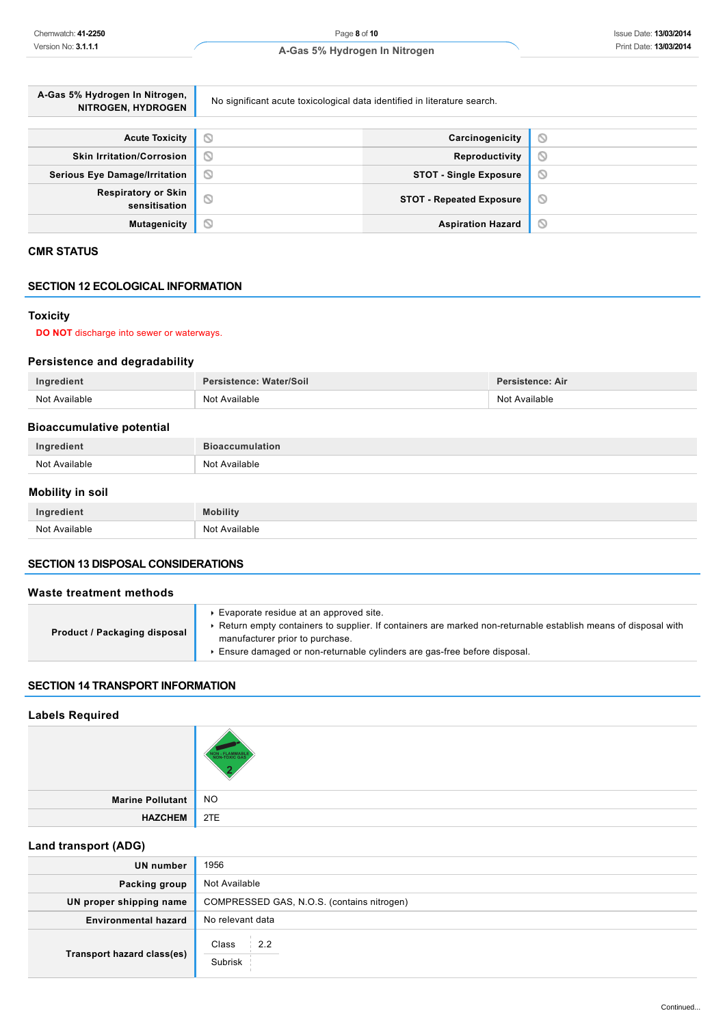| A-Gas 5% Hydrogen In Nitrogen,<br>NITROGEN, HYDROGEN | No significant acute toxicological data identified in literature search. |         |  |
|------------------------------------------------------|--------------------------------------------------------------------------|---------|--|
|                                                      |                                                                          |         |  |
| <b>Acute Toxicity</b>                                | O<br>Carcinogenicity                                                     | Q       |  |
| <b>Skin Irritation/Corrosion</b>                     | Ø<br>Reproductivity                                                      | Q       |  |
| <b>Serious Eye Damage/Irritation</b>                 | Ø<br><b>STOT - Single Exposure</b>                                       | Q       |  |
| <b>Respiratory or Skin</b><br>sensitisation          | $\circ$<br><b>STOT - Repeated Exposure</b>                               | $\circ$ |  |
| <b>Mutagenicity</b>                                  | Ø<br><b>Aspiration Hazard</b>                                            | O       |  |

# **CMR STATUS**

### **SECTION 12 ECOLOGICAL INFORMATION**

# **Toxicity**

### **DO NOT** discharge into sewer or waterways.

# **Persistence and degradability**

| Ingredient                                      | Persistence: Water/Soil | Persistence: Air |  |  |  |
|-------------------------------------------------|-------------------------|------------------|--|--|--|
| Not Available<br>Not Available<br>Not Available |                         |                  |  |  |  |
| <b>Riogecumulative notential</b>                |                         |                  |  |  |  |

| <b>DIVALUMINIQUITY PULCITUAL</b> |                        |  |
|----------------------------------|------------------------|--|
| Ingredient                       | <b>Bioaccumulation</b> |  |
| Not Available                    | Not Available          |  |
|                                  |                        |  |

### **Mobility in soil**

| Ingredient    | Mobility      |
|---------------|---------------|
| Not Available | Not Available |

#### **SECTION 13 DISPOSAL CONSIDERATIONS**

### **Waste treatment methods**

| Product / Packaging disposal | Evaporate residue at an approved site.<br>Return empty containers to supplier. If containers are marked non-returnable establish means of disposal with<br>manufacturer prior to purchase.<br>Ensure damaged or non-returnable cylinders are gas-free before disposal. |
|------------------------------|------------------------------------------------------------------------------------------------------------------------------------------------------------------------------------------------------------------------------------------------------------------------|
|------------------------------|------------------------------------------------------------------------------------------------------------------------------------------------------------------------------------------------------------------------------------------------------------------------|

# **SECTION 14 TRANSPORT INFORMATION**

### **Labels Required**

| Marine Pollutant NO |  |
|---------------------|--|
| HAZCHEM 2TE         |  |

# **Land transport (ADG)**

| UN number                   | 1956                                       |
|-----------------------------|--------------------------------------------|
| Packing group               | Not Available                              |
| UN proper shipping name     | COMPRESSED GAS, N.O.S. (contains nitrogen) |
| <b>Environmental hazard</b> | No relevant data                           |
| Transport hazard class(es)  | Class<br>2.2<br>Subrisk                    |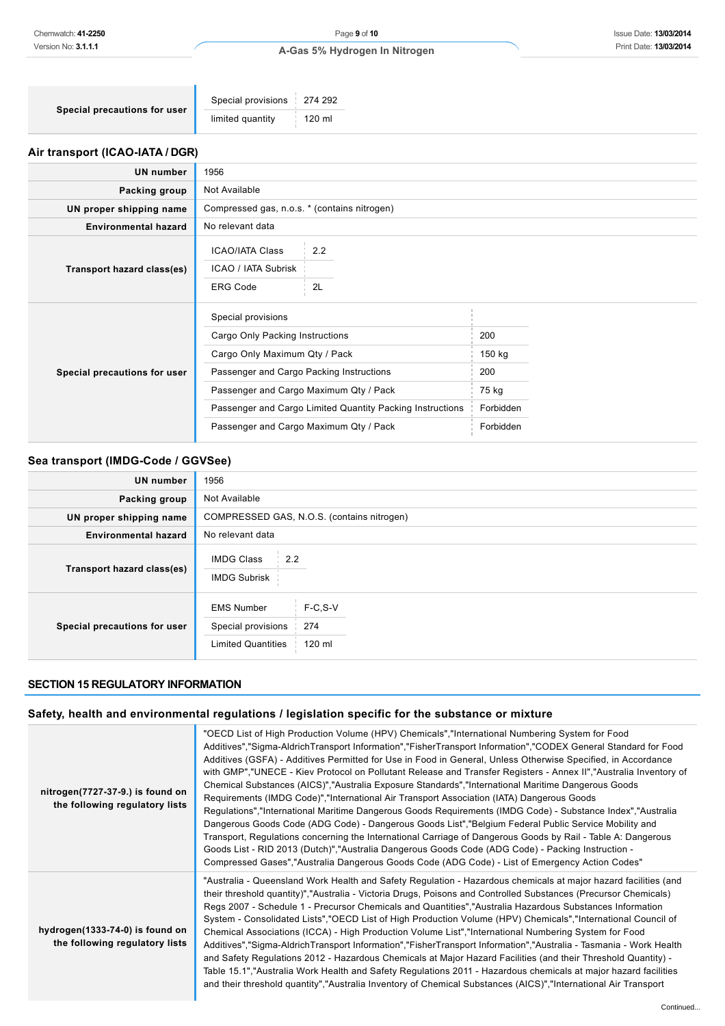| Special precautions for user | Special provisions   274 292 |              |
|------------------------------|------------------------------|--------------|
|                              | limited quantity             | $\pm$ 120 ml |

# **Air transport (ICAO-IATA / DGR)**

ń

| UN number                    | 1956                                                                                                                                                                                                                                                                                |           |                                                         |  |  |
|------------------------------|-------------------------------------------------------------------------------------------------------------------------------------------------------------------------------------------------------------------------------------------------------------------------------------|-----------|---------------------------------------------------------|--|--|
| Packing group                | Not Available                                                                                                                                                                                                                                                                       |           |                                                         |  |  |
| UN proper shipping name      | Compressed gas, n.o.s. * (contains nitrogen)                                                                                                                                                                                                                                        |           |                                                         |  |  |
| <b>Environmental hazard</b>  | No relevant data                                                                                                                                                                                                                                                                    |           |                                                         |  |  |
| Transport hazard class(es)   | <b>ICAO/IATA Class</b><br>ICAO / IATA Subrisk<br><b>ERG Code</b>                                                                                                                                                                                                                    | 2.2<br>2L |                                                         |  |  |
| Special precautions for user | Special provisions<br>Cargo Only Packing Instructions<br>Cargo Only Maximum Qty / Pack<br>Passenger and Cargo Packing Instructions<br>Passenger and Cargo Maximum Qty / Pack<br>Passenger and Cargo Limited Quantity Packing Instructions<br>Passenger and Cargo Maximum Qty / Pack |           | 200<br>150 kg<br>200<br>75 kg<br>Forbidden<br>Forbidden |  |  |

# **Sea transport (IMDG-Code / GGVSee)**

| <b>UN number</b>             | 1956                                                                                               |
|------------------------------|----------------------------------------------------------------------------------------------------|
| Packing group                | Not Available                                                                                      |
| UN proper shipping name      | COMPRESSED GAS, N.O.S. (contains nitrogen)                                                         |
| <b>Environmental hazard</b>  | No relevant data                                                                                   |
| Transport hazard class(es)   | <b>IMDG Class</b><br>2.2<br><b>IMDG Subrisk</b>                                                    |
| Special precautions for user | <b>EMS Number</b><br>$F-C.S-V$<br>Special provisions<br>274<br><b>Limited Quantities</b><br>120 ml |

### **SECTION 15 REGULATORY INFORMATION**

# **Safety, health and environmental regulations / legislation specific for the substance or mixture**

| nitrogen(7727-37-9.) is found on<br>the following regulatory lists | "OECD List of High Production Volume (HPV) Chemicals","International Numbering System for Food<br>Additives","Sigma-AldrichTransport Information","FisherTransport Information","CODEX General Standard for Food<br>Additives (GSFA) - Additives Permitted for Use in Food in General, Unless Otherwise Specified, in Accordance<br>with GMP","UNECE - Kiev Protocol on Pollutant Release and Transfer Registers - Annex II","Australia Inventory of<br>Chemical Substances (AICS)","Australia Exposure Standards","International Maritime Dangerous Goods<br>Requirements (IMDG Code)","International Air Transport Association (IATA) Dangerous Goods<br>Regulations", "International Maritime Dangerous Goods Requirements (IMDG Code) - Substance Index", "Australia<br>Dangerous Goods Code (ADG Code) - Dangerous Goods List", "Belgium Federal Public Service Mobility and<br>Transport, Regulations concerning the International Carriage of Dangerous Goods by Rail - Table A: Dangerous<br>Goods List - RID 2013 (Dutch)","Australia Dangerous Goods Code (ADG Code) - Packing Instruction -<br>Compressed Gases","Australia Dangerous Goods Code (ADG Code) - List of Emergency Action Codes" |
|--------------------------------------------------------------------|----------------------------------------------------------------------------------------------------------------------------------------------------------------------------------------------------------------------------------------------------------------------------------------------------------------------------------------------------------------------------------------------------------------------------------------------------------------------------------------------------------------------------------------------------------------------------------------------------------------------------------------------------------------------------------------------------------------------------------------------------------------------------------------------------------------------------------------------------------------------------------------------------------------------------------------------------------------------------------------------------------------------------------------------------------------------------------------------------------------------------------------------------------------------------------------------------------|
| hydrogen(1333-74-0) is found on<br>the following regulatory lists  | "Australia - Queensland Work Health and Safety Regulation - Hazardous chemicals at major hazard facilities (and<br>their threshold quantity)","Australia - Victoria Drugs, Poisons and Controlled Substances (Precursor Chemicals)<br>Regs 2007 - Schedule 1 - Precursor Chemicals and Quantities", "Australia Hazardous Substances Information<br>System - Consolidated Lists","OECD List of High Production Volume (HPV) Chemicals","International Council of<br>Chemical Associations (ICCA) - High Production Volume List","International Numbering System for Food<br>Additives","Sigma-AldrichTransport Information","FisherTransport Information","Australia - Tasmania - Work Health<br>and Safety Regulations 2012 - Hazardous Chemicals at Major Hazard Facilities (and their Threshold Quantity) -<br>Table 15.1","Australia Work Health and Safety Regulations 2011 - Hazardous chemicals at major hazard facilities<br>and their threshold quantity","Australia Inventory of Chemical Substances (AICS)","International Air Transport                                                                                                                                                       |